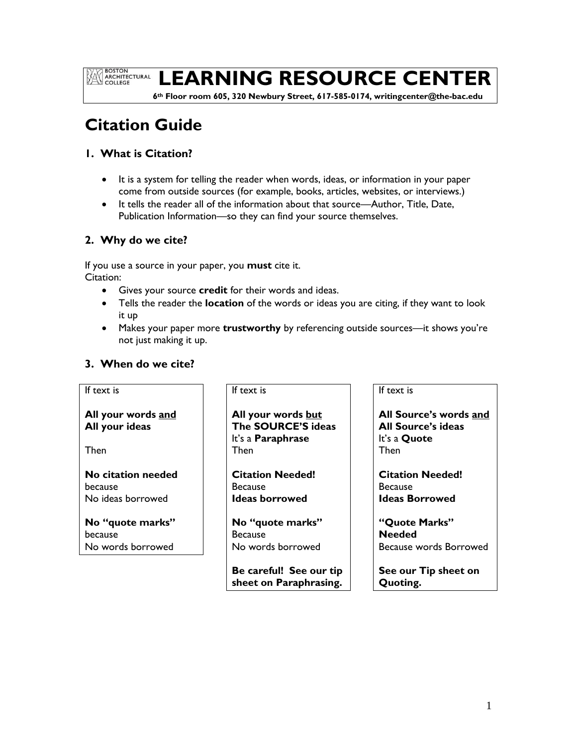**EXAMPLE BOSTON<br>ARCHITECTURAL**<br>COLLEGE

# **LEARNING RESOURCE CENTER**

 **6th Floor room 605, 320 Newbury Street, 617-585-0174, writingcenter@the-bac.edu**

# **Citation Guide**

## **1. What is Citation?**

- It is a system for telling the reader when words, ideas, or information in your paper come from outside sources (for example, books, articles, websites, or interviews.)
- It tells the reader all of the information about that source—Author, Title, Date, Publication Information—so they can find your source themselves.

# **2. Why do we cite?**

If you use a source in your paper, you **must** cite it. Citation:

- Gives your source **credit** for their words and ideas.
- Tells the reader the **location** of the words or ideas you are citing, if they want to look it up
- Makes your paper more **trustworthy** by referencing outside sources—it shows you're not just making it up.

# **3. When do we cite?**

## If text is

**All your words and All your ideas**

Then

**No citation needed** because No ideas borrowed

**No "quote marks"** because No words borrowed

## If text is

**All your words but The SOURCE'S ideas** It's a **Paraphrase** Then

**Citation Needed!** Because **Ideas borrowed**

**No "quote marks" Because** No words borrowed

**Be careful! See our tip sheet on Paraphrasing.**

## If text is

**All Source's words and All Source's ideas** It's a **Quote** Then

**Citation Needed!** Because **Ideas Borrowed**

**"Quote Marks" Needed** Because words Borrowed

**See our Tip sheet on Quoting.**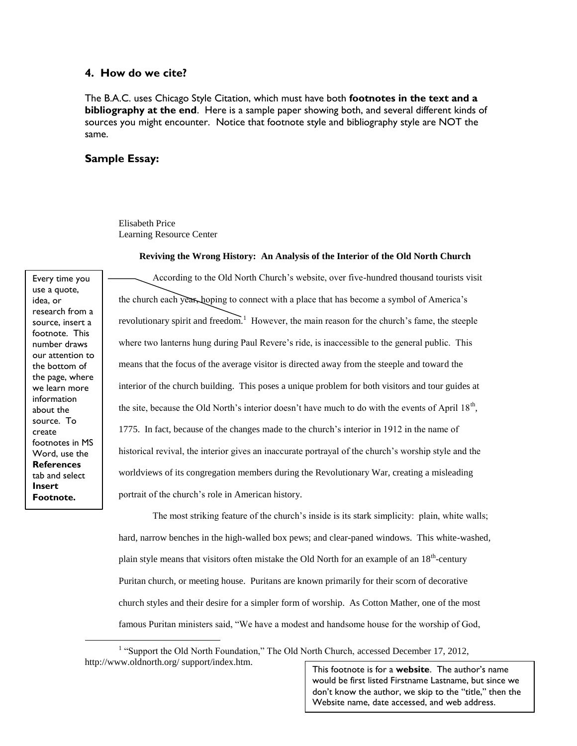### **4. How do we cite?**

The B.A.C. uses Chicago Style Citation, which must have both **footnotes in the text and a bibliography at the end**. Here is a sample paper showing both, and several different kinds of sources you might encounter. Notice that footnote style and bibliography style are NOT the same.

### **Sample Essay:**

Elisabeth Price Learning Resource Center

#### **Reviving the Wrong History: An Analysis of the Interior of the Old North Church**

Every time you use a quote, idea, or research from a source, insert a footnote. This number draws our attention to the bottom of the page, where we learn more information about the source. To create footnotes in MS Word, use the **References** tab and select **Insert Footnote.**

 $\overline{a}$ 

According to the Old North Church's website, over five-hundred thousand tourists visit the church each year, hoping to connect with a place that has become a symbol of America's revolutionary spirit and freedom.<sup>1</sup> However, the main reason for the church's fame, the steeple where two lanterns hung during Paul Revere's ride, is inaccessible to the general public. This means that the focus of the average visitor is directed away from the steeple and toward the interior of the church building. This poses a unique problem for both visitors and tour guides at the site, because the Old North's interior doesn't have much to do with the events of April  $18<sup>th</sup>$ , 1775. In fact, because of the changes made to the church's interior in 1912 in the name of historical revival, the interior gives an inaccurate portrayal of the church's worship style and the worldviews of its congregation members during the Revolutionary War, creating a misleading portrait of the church's role in American history.

The most striking feature of the church's inside is its stark simplicity: plain, white walls; hard, narrow benches in the high-walled box pews; and clear-paned windows. This white-washed, plain style means that visitors often mistake the Old North for an example of an 18<sup>th</sup>-century Puritan church, or meeting house. Puritans are known primarily for their scorn of decorative church styles and their desire for a simpler form of worship. As Cotton Mather, one of the most famous Puritan ministers said, "We have a modest and handsome house for the worship of God,

<sup>1</sup> "Support the Old North Foundation," The Old North Church, accessed December 17, 2012, http://www.oldnorth.org/ support/index.htm.

2 Website name, date accessed, and web address. This footnote is for a **website**. The author's name would be first listed Firstname Lastname, but since we don't know the author, we skip to the "title," then the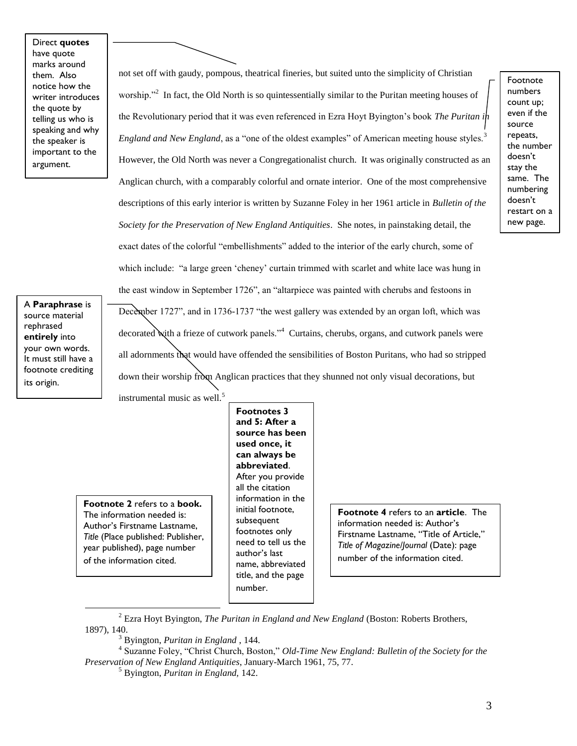Direct **quotes** have quote marks around them. Also notice how the writer introduces the quote by telling us who is speaking and why the speaker is important to the argument.

not set off with gaudy, pompous, theatrical fineries, but suited unto the simplicity of Christian worship."<sup>2</sup> In fact, the Old North is so quintessentially similar to the Puritan meeting houses of the Revolutionary period that it was even referenced in Ezra Hoyt Byington's book *The Puritan in England and New England*, as a "one of the oldest examples" of American meeting house styles.<sup>3</sup> However, the Old North was never a Congregationalist church. It was originally constructed as an Anglican church, with a comparably colorful and ornate interior. One of the most comprehensive descriptions of this early interior is written by Suzanne Foley in her 1961 article in *Bulletin of the Society for the Preservation of New England Antiquities*. She notes, in painstaking detail, the exact dates of the colorful "embellishments" added to the interior of the early church, some of which include: "a large green 'cheney' curtain trimmed with scarlet and white lace was hung in the east window in September 1726", an "altarpiece was painted with cherubs and festoons in December 1727", and in 1736-1737 "the west gallery was extended by an organ loft, which was decorated with a frieze of cutwork panels."<sup>4</sup> Curtains, cherubs, organs, and cutwork panels were all adornments that would have offended the sensibilities of Boston Puritans, who had so stripped down their worship from Anglican practices that they shunned not only visual decorations, but instrumental music as well.<sup>5</sup>

A **Paraphrase** is source material rephrased **entirely** into your own words. It must still have a footnote crediting its origin.

> **Footnote 2** refers to a **book.** The information needed is: Author's Firstname Lastname, *Title* (Place published: Publisher, year published), page number of the information cited.

 $\overline{a}$ 

**Footnotes 3 and 5: After a source has been used once, it can always be abbreviated**. After you provide all the citation information in the initial footnote, subsequent footnotes only need to tell us the author's last name, abbreviated title, and the page number.

**Footnote 4** refers to an **article**. The information needed is: Author's Firstname Lastname, "Title of Article," *Title of Magazine/Journal* (Date): page number of the information cited.

Footnote numbers count up; even if the source repeats, the number doesn't stay the same. The numbering doesn't restart on a new page.

<sup>2</sup> Ezra Hoyt Byington, *The Puritan in England and New England* (Boston: Roberts Brothers, 1897), 140.

<sup>3</sup> Byington, *Puritan in England* , 144.

<sup>4</sup> Suzanne Foley, "Christ Church, Boston," *Old-Time New England: Bulletin of the Society for the Preservation of New England Antiquities*, January-March 1961, 75, 77.

<sup>5</sup> Byington, *Puritan in England,* 142.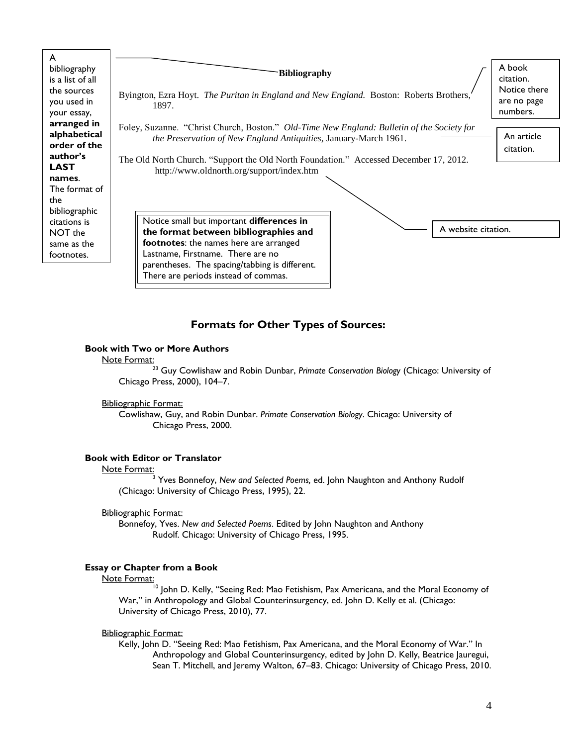| you used in                                                                                                                                                                       | Byington, Ezra Hoyt. The Puritan in England and New England. Boston: Roberts Brothers,                                                                                                                                                                                                                                                                                                                                                                                                                                                                    | are no page             |
|-----------------------------------------------------------------------------------------------------------------------------------------------------------------------------------|-----------------------------------------------------------------------------------------------------------------------------------------------------------------------------------------------------------------------------------------------------------------------------------------------------------------------------------------------------------------------------------------------------------------------------------------------------------------------------------------------------------------------------------------------------------|-------------------------|
| your essay,                                                                                                                                                                       | 1897.                                                                                                                                                                                                                                                                                                                                                                                                                                                                                                                                                     | numbers.                |
| arranged in<br>alphabetical<br>order of the<br>author's<br><b>LAST</b><br>names.<br>The format of<br>the<br>bibliographic<br>citations is<br>NOT the<br>same as the<br>footnotes. | Foley, Suzanne. "Christ Church, Boston." <i>Old-Time New England: Bulletin of the Society for</i><br>the Preservation of New England Antiquities, January-March 1961.<br>The Old North Church. "Support the Old North Foundation." Accessed December 17, 2012.<br>http://www.oldnorth.org/support/index.htm<br>Notice small but important differences in<br>A website citation.<br>the format between bibliographies and<br>footnotes: the names here are arranged<br>Lastname, Firstname. There are no<br>parentheses. The spacing/tabbing is different. | An article<br>citation. |

## **Formats for Other Types of Sources:**

### **Book with Two or More Authors**

#### Note Format:

<sup>23</sup> Guy Cowlishaw and Robin Dunbar, *Primate Conservation Biology* (Chicago: University of Chicago Press, 2000), 104–7.

#### Bibliographic Format:

Cowlishaw, Guy, and Robin Dunbar. *Primate Conservation Biology*. Chicago: University of Chicago Press, 2000.

## **Book with Editor or Translator**

#### Note Format:

<sup>3</sup> Yves Bonnefoy, *New and Selected Poems,* ed. John Naughton and Anthony Rudolf (Chicago: University of Chicago Press, 1995), 22.

#### Bibliographic Format:

Bonnefoy, Yves. *New and Selected Poems*. Edited by John Naughton and Anthony Rudolf. Chicago: University of Chicago Press, 1995.

### **Essay or Chapter from a Book**

#### Note Format:

 $^{\overline{1}0}$  John D. Kelly, "Seeing Red: Mao Fetishism, Pax Americana, and the Moral Economy of War," in Anthropology and Global Counterinsurgency, ed. John D. Kelly et al. (Chicago: University of Chicago Press, 2010), 77.

#### Bibliographic Format:

Kelly, John D. "Seeing Red: Mao Fetishism, Pax Americana, and the Moral Economy of War." In Anthropology and Global Counterinsurgency, edited by John D. Kelly, Beatrice Jauregui, Sean T. Mitchell, and Jeremy Walton, 67–83. Chicago: University of Chicago Press, 2010.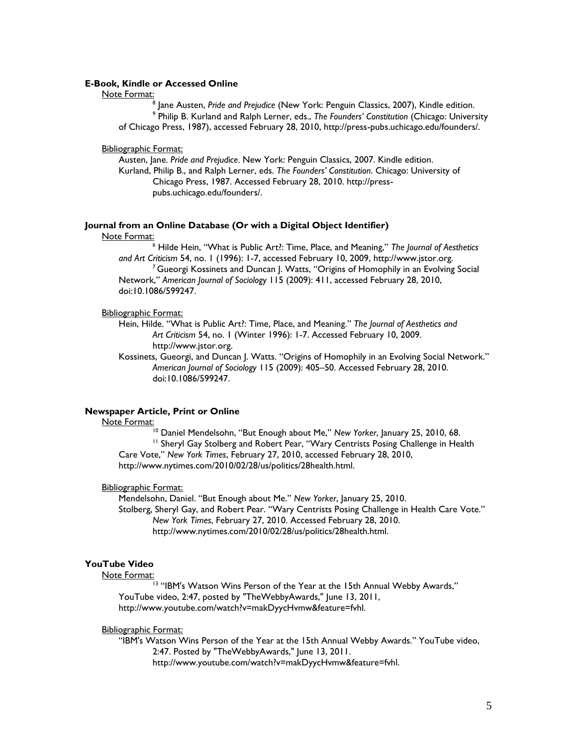#### **E-Book, Kindle or Accessed Online**

#### Note Format:

8 Jane Austen, *Pride and Prejudice* (New York: Penguin Classics, 2007), Kindle edition. 9 Philip B. Kurland and Ralph Lerner, eds., *The Founders' Constitution* (Chicago: University of Chicago Press, 1987), accessed February 28, 2010, http://press-pubs.uchicago.edu/founders/.

#### Bibliographic Format:

Austen, Jane. *Pride and Prejudice*. New York: Penguin Classics, 2007. Kindle edition. Kurland, Philip B., and Ralph Lerner, eds. *The Founders' Constitution*. Chicago: University of Chicago Press, 1987. Accessed February 28, 2010. http://presspubs.uchicago.edu/founders/.

#### **Journal from an Online Database (Or with a Digital Object Identifier)**

#### Note Format:

<sup>6</sup> Hilde Hein, "What is Public Art?: Time, Place, and Meaning," *The Journal of Aesthetics and Art Criticism* 54, no. 1 (1996): 1-7, accessed February 10, 2009, http://www.jstor.org. <sup>7</sup> Gueorgi Kossinets and Duncan J. Watts, "Origins of Homophily in an Evolving Social Network," *American Journal of Sociology* 115 (2009): 411, accessed February 28, 2010, doi:10.1086/599247.

#### Bibliographic Format:

Hein, Hilde. "What is Public Art?: Time, Place, and Meaning." *The Journal of Aesthetics and Art Criticism* 54, no. 1 (Winter 1996): 1-7. Accessed February 10, 2009. http://www.jstor.org.

Kossinets, Gueorgi, and Duncan J. Watts. "Origins of Homophily in an Evolving Social Network." *American Journal of Sociology* 115 (2009): 405–50. Accessed February 28, 2010. doi:10.1086/599247.

#### **Newspaper Article, Print or Online**

#### Note Format:

<sup>10</sup> Daniel Mendelsohn, "But Enough about Me," *New Yorker*, January 25, 2010, 68.

<sup>11</sup> Sheryl Gay Stolberg and Robert Pear, "Wary Centrists Posing Challenge in Health Care Vote," *New York Times*, February 27, 2010, accessed February 28, 2010, http://www.nytimes.com/2010/02/28/us/politics/28health.html.

#### Bibliographic Format:

Mendelsohn, Daniel. "But Enough about Me." *New Yorker*, January 25, 2010. Stolberg, Sheryl Gay, and Robert Pear. "Wary Centrists Posing Challenge in Health Care Vote." *New York Times*, February 27, 2010. Accessed February 28, 2010. http://www.nytimes.com/2010/02/28/us/politics/28health.html.

#### **YouTube Video**

#### Note Format:

<sup>13</sup> "IBM's Watson Wins Person of the Year at the 15th Annual Webby Awards," YouTube video, 2:47, posted by "TheWebbyAwards," June 13, 2011, http://www.youtube.com/watch?v=makDyycHvmw&feature=fvhl.

#### Bibliographic Format:

"IBM's Watson Wins Person of the Year at the 15th Annual Webby Awards." YouTube video, 2:47. Posted by "TheWebbyAwards," June 13, 2011.

http://www.youtube.com/watch?v=makDyycHvmw&feature=fvhl.